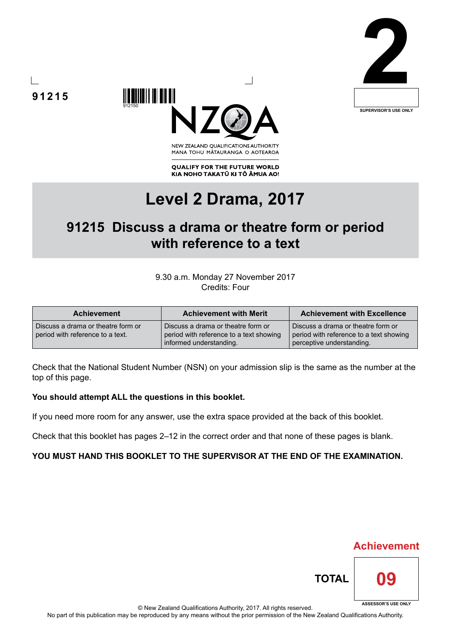







**QUALIFY FOR THE FUTURE WORLD** KIA NOHO TAKATŪ KI TŌ ĀMUA AO!

# **Level 2 Drama, 2017**

## **91215 Discuss a drama or theatre form or period with reference to a text**

#### 9.30 a.m. Monday 27 November 2017 Credits: Four

| <b>Achievement</b>                                                     | <b>Achievement with Merit</b>                                                                            | <b>Achievement with Excellence</b>                                                                         |
|------------------------------------------------------------------------|----------------------------------------------------------------------------------------------------------|------------------------------------------------------------------------------------------------------------|
| Discuss a drama or theatre form or<br>period with reference to a text. | Discuss a drama or theatre form or<br>period with reference to a text showing<br>informed understanding. | Discuss a drama or theatre form or<br>period with reference to a text showing<br>perceptive understanding. |

Check that the National Student Number (NSN) on your admission slip is the same as the number at the top of this page.

#### **You should attempt ALL the questions in this booklet.**

If you need more room for any answer, use the extra space provided at the back of this booklet.

Check that this booklet has pages 2–12 in the correct order and that none of these pages is blank.

#### **YOU MUST HAND THIS BOOKLET TO THE SUPERVISOR AT THE END OF THE EXAMINATION.**



**Achievement**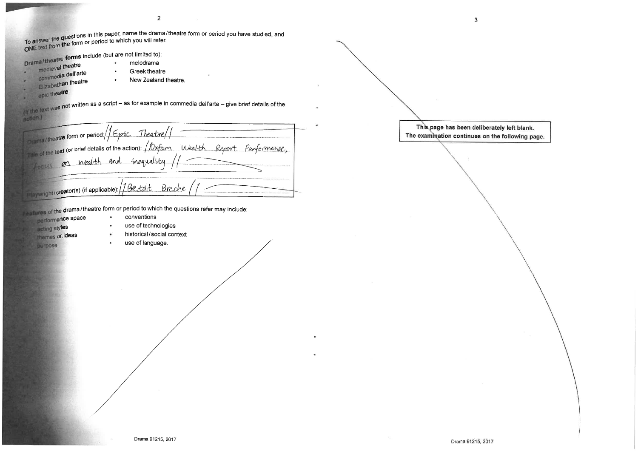To answer the questions in this paper, name the drama/theatre form or period you have studied, and To answer the Habsache in this paper, name the dramal

 $\overline{2}$ 

Drama/theatre forms include (but are not limited to):

- medieval theatre
- Greek theatre
- commedia dell'arte
- Elizabethan theatre
- epic theatre

text was not written as a script - as for example in commedia dell'arte - give brief details of the action.)

New Zealand theatre.

**Drama/theatre form or period**://Epic Theatre/ the of the text (or brief details of the action): / 10xfam Wealth Report Performance, on Wealth and inequality Locus laywright/creator(s) (if applicable): // Bretolt Breche

satures of the drama/theatre form or period to which the questions refer may include:

 $\bullet$ 

 $\bullet$ 

- performance space acting styles **Imemes or ideas**
- conventions
- use of technologies

purpose

- historical/social context
- use of language.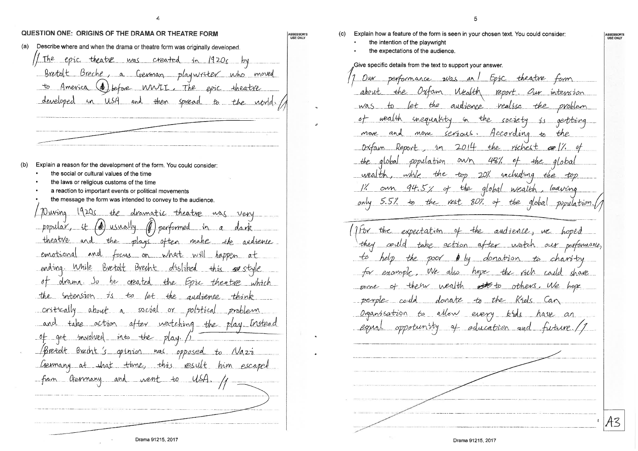ASSESSOR'S<br>USE ONLY

### QUESTION ONE: ORIGINS OF THE DRAMA OR THEATRE FORM

Describe where and when the drama or theatre form was originally developed.  $(a)$ 

The epic theatre was created  $1n$ <u>1920c</u>  $10y$ Bretolt Breche, a German playwriter who moved (4) before WWII, The epic theatre  $t_{\sigma}$ America in USA and then spread developed to the ubrid

- $(b)$ Explain a reason for the development of the form. You could consider
	- the social or cultural values of the time
	- the laws or religious customs of the time
	- a reaction to important events or political movements
	- the message the form was intended to convey to the audience.

19205 Duving the dramatic theating was very (1) performed in a popular, it (@) usually theatre and the plays often make argrenie emotional and focus on what will happen at ending. While Bretolt Brecht disliked this so style drama. So he greated the Epic theatre which  $\circ$   $\tau$ the intension is to let the quelience think critically about a social or political problem and take action after watching the play. Instead of get involved into the play. Bretolt Brecht's opinion was opposed to Wazz Germany at that time, this result him escaped from Germany and went to USA

Explain how a feature of the form is seen in your chosen text. You could consider:  $(c)$ the intention of the playwright the expectations of the audience. Give specific details from the text to support your answer. Epic theatre form Dur. performance was an Oxform Mealth report. Our intension the about the audience <u>realise the problem</u> was  $\infty$ let in the society wealth inequality is gertring  $Ser'1ouS$ . According to the and mone Move Report  $2014$ ríchest  $-\frac{2}{n}$ the Dxtam  $\infty$  //  $own$ 487. population the qlobal wealth,  $which$ the top 20% uncluding the top own 94.5% of the global wealth, leaving  $\frac{1}{2}$ only 5.5% to the rest 80% of the global population I for the expectation of the audience, we hoped take action after watch our performance, could the poor by donation to charity example, We also hope the rich could shave thew wealth to others. We hope some donate to the Riels Can could Organisation to allow every kids have an of education and future oppotunny

Drama 91215, 2017

**SSESSOR!**<br>USE ONLY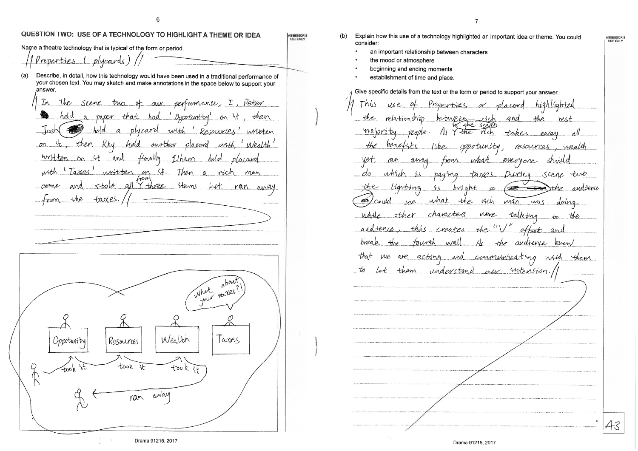QUESTION TWO: USE OF A TECHNOLOGY TO HIGHLIGHT A THEME OR IDEA ASSESSOR'S<br>USE ONLY Name a theatre technology that is typical of the form or period. Properties (plycards)  $(a)$ Describe, in detail, how this technology would have been used in a traditional performance of your chosen text. You may sketch and make annotations in the space below to support your answer. In the seene two of our performance, I , *Veter* held a paper that had 'Oppotunity' on it, then a phroard with 'Resources' written  $-$ held on it, then Rhy "Wealth" with held another placend written on 4t and finally Elham held  $plasov$ written on St. Then a rich with 'Taxes' non stole all I three sterns ran avay  $-$ trom the taxes. about What your voites ◠ Wealth Resources  $l$  axes *Oopotuni* ty took took D took awan ran

Explain how this use of a technology highlighted an important idea or theme. You could consider:

- an important relationship between characters
- the mood or atmosphere

 $(b)$ 

- beginning and ending moments
- establishment of time and place

Give specific details from the text or the form or period to support your answer. This Properties or placord highlighted use the relationship between rích and rest majority the Trich  $\nu$ eople. takes away the benes oppotunity, resources wealth everyone anay what tron paying taxes. During Scene tub lighting 25 bright co andience  $\bigl(\bigoplus$  $\overline{\phantom{a}}$ the see what the vich man was doing could characters neve talking while other  $+6$ the andtence, this creates the " effect and  $t$ the tourth the audience knew preale wall We are acting and communicating with to let them understand our intension 43

 $-that$ 

## ASSESSOR'S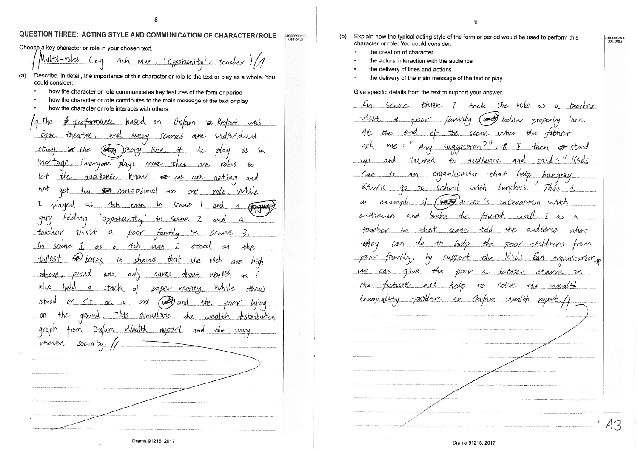#### QUESTION THREE: ACTING STYLE AND COMMUNICATION OF CHARACTER/ROLE ASSESSOR'S

-8

Choose a key character or role in your chosen text.

Multi-roles rich man,  $e_{q}$ 'Oppotunity'

- Describe, in detail, the importance of this character or role to the text or play as a whole. You  $(a)$ could consider:
	- how the character or role communicates key features of the form or period
	- how the character or role contributes to the main message of the text or play
	- how the character or role interacts with others.

. The Ortan Dev Formance hased ðп **VO** Ke every anel are *<u>Endroldia</u>* scenes  $\bigoplus$ Istory story  $15$ be the DlaN montage. Everyone plays more than roles  $OP$ andrence  $let$ the  $km$ ow RE We aeting and are **DA** emotional not Whrle get  $t\infty$  $+$ 0 one <u>role.</u>  $-1$  $\alpha$ Vich m Scene playe man and  $\alpha$ <u>- 914</u> hololmo 'oppotunity scene m  $\mathcal{O}$ anel **-teacher** a poor faminy m Scene rích scene  $\lfloor \ln \rfloor$ man stood  $\Delta$  $\Delta$  $\mathcal{O}V$  $AhP$ that  $\langle \bigcirc \rangle$ shows tallest  $t_{\delta}$ the rich box e s ave proud above ovnd only cares obout vika IAN  $\alpha$  $\alpha$ /50 held  $\mathcal{A}$ While stack  $\sigma$ paper money others <u>stsod</u>  $or$   $5$ <sup>+</sup>  $b_0\chi$  $\Delta$  $\alpha$  $\mathcal{P}$ the shmyate  $on$ This the ground  $the$ wealth dhstribudion Oxtan Wealth <u>graph</u> report and the ven merry socraty

Drama 91215, 2017

- Explain how the typical acting style of the form or period would be used to perform this (b) character or role. You could consider:
	- the creation of character
	- the actors' interaction with the audience
	- the delivery of lines and actions
	- the delivery of the main message of the text or play.

Give specific details from the text to support your answer.

In scene three  $\overline{7}$ took the vole as a teacher  $rac{1}{\sqrt{2}}$  $V$ istt  $9,7000$ famry below property  $1$ une. the scene when the  $-4t$ the end tather  $-6$ gER  $me$  = Any suggestion! sand " Krels tumed  $to$ audience help organization that an hungray Krwys  $q_D$  $+$ school lunches. Thás  $\mathcal{L}$  $W$ actor's interaction example -6F with  $ar$ and broke  $th$ andrence tourth  $1\sqrt{2}$ as  $\sigma$ andience teacher in tdd  $the$ what  $Fh$ a1 crene heh  $DOOY$ they the chudrens tron support the Kids Can organisations  $200Y$ tamuu. by give the poor a betfer chance in ve can tutune help to solve the wealth the uneengloby Tarablem Orrfam nealth  $2n$ 43

ASSESSOR'S<br>USE ONLY